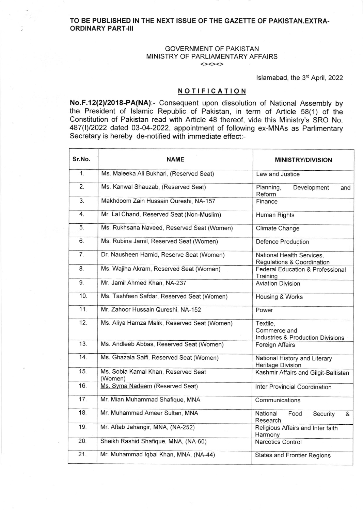## TO BE PUBLISHED IN THE NEXT ISSUE OF THE GAZETTE OF PAKISTAN.EXTRA. ORDINARY PART.III

## GOVERNMENT OF PAKISTAN MINISTRY OF PARLIAMENTARY AFFAIRS <><><>

lslamabad, the 3'd April, 2022

## **NOTIFICATION**

No.F.12(2)/2018-PA(NA):- Consequent upon dissolution of National Assembly by the President of lslamic Republic of Pakistan, in term of Article 58(1) of the Constitution of Pakistan read with Article 48 thereof, vide this Ministry's SRO No. 487(I)/2022 dated 03-04-2022, appointment of following ex-MNAs as Parlimentary Secretary is hereby de-notified with immediate effect:-

| Sr.No. | <b>NAME</b>                                    | <b>MINISTRY/DIVISION</b>                                      |
|--------|------------------------------------------------|---------------------------------------------------------------|
| 1.     | Ms. Maleeka Ali Bukhari, (Reserved Seat)       | Law and Justice                                               |
| 2.     | Ms. Kanwal Shauzab, (Reserved Seat)            | Planning,<br>Development<br>and<br>Reform                     |
| 3.     | Makhdoom Zain Hussain Qureshi, NA-157          | Finance                                                       |
| 4.     | Mr. Lal Chand, Reserved Seat (Non-Muslim)      | Human Rights                                                  |
| 5.     | Ms. Rukhsana Naveed, Reserved Seat (Women)     | Climate Change                                                |
| 6.     | Ms. Rubina Jamil, Reserved Seat (Women)        | <b>Defence Production</b>                                     |
| 7.     | Dr. Nausheen Hamid, Reserve Seat (Women)       | National Health Services,<br>Regulations & Coordination       |
| 8.     | Ms. Wajiha Akram, Reserved Seat (Women)        | Federal Education & Professional<br>Training                  |
| 9.     | Mr. Jamil Ahmed Khan, NA-237                   | <b>Aviation Division</b>                                      |
| 10.    | Ms. Tashfeen Safdar, Reserved Seat (Women)     | Housing & Works                                               |
| 11.    | Mr. Zahoor Hussain Qureshi, NA-152             | Power                                                         |
| 12.    | Ms. Aliya Hamza Malik, Reserved Seat (Women)   | Textile,<br>Commerce and<br>Industries & Production Divisions |
| 13.    | Ms. Andleeb Abbas, Reserved Seat (Women)       | Foreign Affairs                                               |
| 14.    | Ms. Ghazala Saifi, Reserved Seat (Women)       | National History and Literary<br>Heritage Division            |
| 15.    | Ms. Sobia Kamal Khan, Reserved Seat<br>(Women) | Kashmir Affairs and Gilgit-Baltistan                          |
| 16.    | Ms. Syma Nadeem (Reserved Seat)                | <b>Inter Provincial Coordination</b>                          |
| 17.    | Mr. Mian Muhammad Shafique, MNA                | Communications                                                |
| 18.    | Mr. Muhammad Ameer Sultan, MNA                 | National<br>Food<br>Security<br>&<br>Research                 |
| 19.    | Mr. Aftab Jahangir, MNA, (NA-252)              | Religious Affairs and Inter faith<br>Harmony                  |
| 20.    | Sheikh Rashid Shafique, MNA, (NA-60)           | <b>Narcotics Control</b>                                      |
| 21.    | Mr. Muhammad Iqbal Khan, MNA, (NA-44)          | <b>States and Frontier Regions</b>                            |